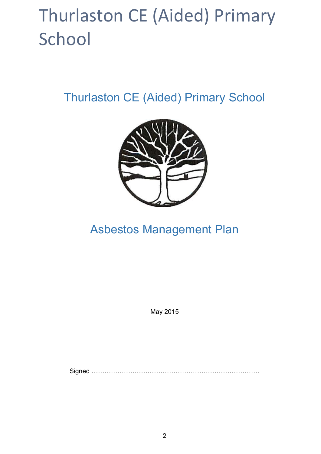# Thurlaston CE (Aided) Primary School

Thurlaston CE (Aided) Primary School



# Asbestos Management Plan

May 2015

Signed ((((((((((((((((((((((((((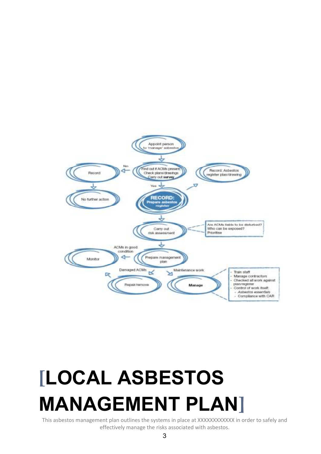



This asbestos management plan outlines the systems in place at XXXXXXXXXXXX in order to safely and effectively manage the risks associated with asbestos.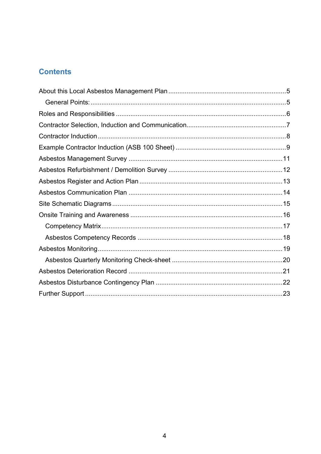# **Contents**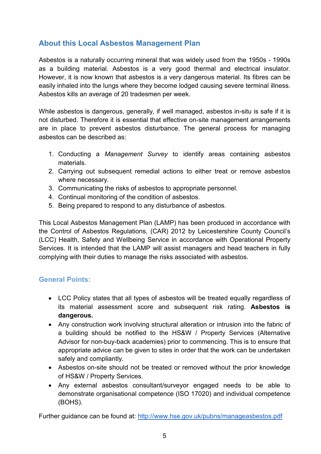# **About this Local Asbestos Management Plan**

Asbestos is a naturally occurring mineral that was widely used from the 1950s - 1990s as a building material. Asbestos is a very good thermal and electrical insulator. However, it is now known that asbestos is a very dangerous material. Its fibres can be easily inhaled into the lungs where they become lodged causing severe terminal illness. Asbestos kills an average of 20 tradesmen per week.

While asbestos is dangerous, generally, if well managed, asbestos in-situ is safe if it is not disturbed. Therefore it is essential that effective on-site management arrangements are in place to prevent asbestos disturbance. The general process for managing asbestos can be described as:

- 1. Conducting a *Management Survey* to identify areas containing asbestos materials.
- 2. Carrying out subsequent remedial actions to either treat or remove asbestos where necessary.
- 3. Communicating the risks of asbestos to appropriate personnel.
- 4. Continual monitoring of the condition of asbestos.
- 5. Being prepared to respond to any disturbance of asbestos.

This Local Asbestos Management Plan (LAMP) has been produced in accordance with the Control of Asbestos Regulations, (CAR) 2012 by Leicestershire County Council's (LCC) Health, Safety and Wellbeing Service in accordance with Operational Property Services. It is intended that the LAMP will assist managers and head teachers in fully complying with their duties to manage the risks associated with asbestos.

#### **General Points:**

- LCC Policy states that all types of asbestos will be treated equally regardless of its material assessment score and subsequent risk rating. **Asbestos is dangerous.**
- Any construction work involving structural alteration or intrusion into the fabric of a building should be notified to the HS&W / Property Services (Alternative Advisor for non-buy-back academies) prior to commencing. This is to ensure that appropriate advice can be given to sites in order that the work can be undertaken safely and compliantly.
- Asbestos on-site should not be treated or removed without the prior knowledge of HS&W / Property Services.
- Any external asbestos consultant/surveyor engaged needs to be able to demonstrate organisational competence (ISO 17020) and individual competence (BOHS).

Further guidance can be found at: http://www.hse.gov.uk/pubns/manageasbestos.pdf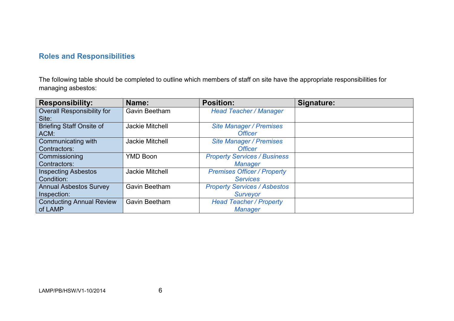# **Roles and Responsibilities**

The following table should be completed to outline which members of staff on site have the appropriate responsibilities for managing asbestos:

| <b>Responsibility:</b>            | Name:                  | <b>Position:</b>                    | Signature: |
|-----------------------------------|------------------------|-------------------------------------|------------|
| <b>Overall Responsibility for</b> | Gavin Beetham          | <b>Head Teacher / Manager</b>       |            |
| Site:                             |                        |                                     |            |
| <b>Briefing Staff Onsite of</b>   | <b>Jackie Mitchell</b> | <b>Site Manager / Premises</b>      |            |
| ACM:                              |                        | <b>Officer</b>                      |            |
| Communicating with                | Jackie Mitchell        | <b>Site Manager / Premises</b>      |            |
| Contractors:                      |                        | <b>Officer</b>                      |            |
| Commissioning                     | <b>YMD Boon</b>        | <b>Property Services / Business</b> |            |
| Contractors:                      |                        | <b>Manager</b>                      |            |
| <b>Inspecting Asbestos</b>        | Jackie Mitchell        | <b>Premises Officer / Property</b>  |            |
| Condition:                        |                        | <b>Services</b>                     |            |
| <b>Annual Asbestos Survey</b>     | <b>Gavin Beetham</b>   | <b>Property Services / Asbestos</b> |            |
| Inspection:                       |                        | Surveyor                            |            |
| <b>Conducting Annual Review</b>   | Gavin Beetham          | <b>Head Teacher / Property</b>      |            |
| of LAMP                           |                        | <b>Manager</b>                      |            |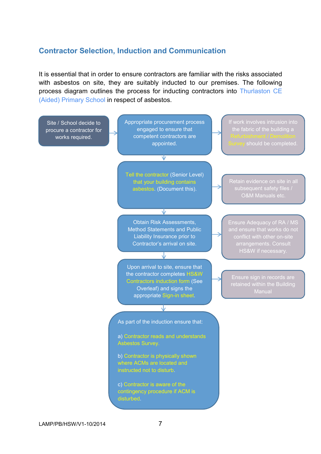#### **Contractor Selection, Induction and Communication**

It is essential that in order to ensure contractors are familiar with the risks associated with asbestos on site, they are suitably inducted to our premises. The following process diagram outlines the process for inducting contractors into Thurlaston CE (Aided) Primary School in respect of asbestos.

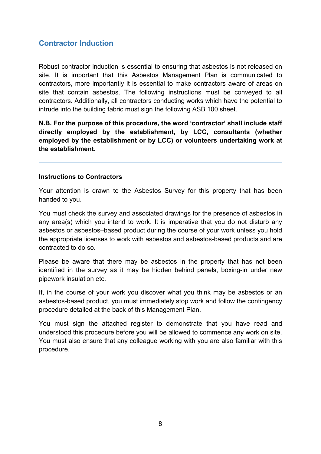# **Contractor Induction**

Robust contractor induction is essential to ensuring that asbestos is not released on site. It is important that this Asbestos Management Plan is communicated to contractors, more importantly it is essential to make contractors aware of areas on site that contain asbestos. The following instructions must be conveyed to all contractors. Additionally, all contractors conducting works which have the potential to intrude into the building fabric must sign the following ASB 100 sheet.

**N.B. For the purpose of this procedure, the word 'contractor' shall include staff directly employed by the establishment, by LCC, consultants (whether employed by the establishment or by LCC) or volunteers undertaking work at the establishment.** 

#### **Instructions to Contractors**

Your attention is drawn to the Asbestos Survey for this property that has been handed to you.

You must check the survey and associated drawings for the presence of asbestos in any area(s) which you intend to work. It is imperative that you do not disturb any asbestos or asbestos–based product during the course of your work unless you hold the appropriate licenses to work with asbestos and asbestos-based products and are contracted to do so.

Please be aware that there may be asbestos in the property that has not been identified in the survey as it may be hidden behind panels, boxing-in under new pipework insulation etc.

If, in the course of your work you discover what you think may be asbestos or an asbestos-based product, you must immediately stop work and follow the contingency procedure detailed at the back of this Management Plan.

You must sign the attached register to demonstrate that you have read and understood this procedure before you will be allowed to commence any work on site. You must also ensure that any colleague working with you are also familiar with this procedure.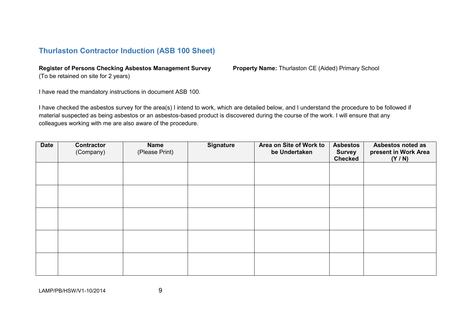# **Thurlaston Contractor Induction (ASB 100 Sheet)**

#### **Register of Persons Checking Asbestos Management Survey Property Name:** Thurlaston CE (Aided) Primary School

(To be retained on site for 2 years)

I have read the mandatory instructions in document ASB 100.

I have checked the asbestos survey for the area(s) I intend to work, which are detailed below, and I understand the procedure to be followed if material suspected as being asbestos or an asbestos-based product is discovered during the course of the work. I will ensure that any colleagues working with me are also aware of the procedure.

| <b>Date</b> | Contractor<br>(Company) | <b>Name</b><br>(Please Print) | <b>Signature</b> | Area on Site of Work to<br>be Undertaken | <b>Asbestos</b><br><b>Survey</b><br><b>Checked</b> | Asbestos noted as<br>present in Work Area<br>(Y/N) |
|-------------|-------------------------|-------------------------------|------------------|------------------------------------------|----------------------------------------------------|----------------------------------------------------|
|             |                         |                               |                  |                                          |                                                    |                                                    |
|             |                         |                               |                  |                                          |                                                    |                                                    |
|             |                         |                               |                  |                                          |                                                    |                                                    |
|             |                         |                               |                  |                                          |                                                    |                                                    |
|             |                         |                               |                  |                                          |                                                    |                                                    |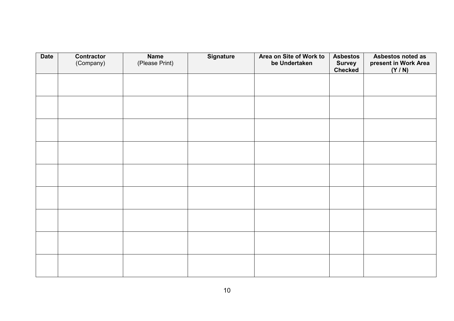| <b>Date</b> | <b>Contractor</b><br>(Company) | <b>Name</b><br>(Please Print) | <b>Signature</b> | Area on Site of Work to<br>be Undertaken | <b>Asbestos</b><br><b>Survey</b> | Asbestos noted as<br>present in Work Area |
|-------------|--------------------------------|-------------------------------|------------------|------------------------------------------|----------------------------------|-------------------------------------------|
|             |                                |                               |                  |                                          | Checked                          | (Y/N)                                     |
|             |                                |                               |                  |                                          |                                  |                                           |
|             |                                |                               |                  |                                          |                                  |                                           |
|             |                                |                               |                  |                                          |                                  |                                           |
|             |                                |                               |                  |                                          |                                  |                                           |
|             |                                |                               |                  |                                          |                                  |                                           |
|             |                                |                               |                  |                                          |                                  |                                           |
|             |                                |                               |                  |                                          |                                  |                                           |
|             |                                |                               |                  |                                          |                                  |                                           |
|             |                                |                               |                  |                                          |                                  |                                           |
|             |                                |                               |                  |                                          |                                  |                                           |
|             |                                |                               |                  |                                          |                                  |                                           |
|             |                                |                               |                  |                                          |                                  |                                           |
|             |                                |                               |                  |                                          |                                  |                                           |
|             |                                |                               |                  |                                          |                                  |                                           |
|             |                                |                               |                  |                                          |                                  |                                           |
|             |                                |                               |                  |                                          |                                  |                                           |
|             |                                |                               |                  |                                          |                                  |                                           |
|             |                                |                               |                  |                                          |                                  |                                           |
|             |                                |                               |                  |                                          |                                  |                                           |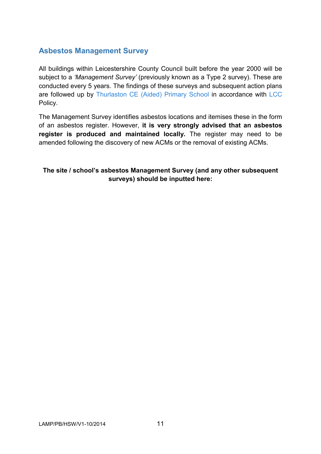# **Asbestos Management Survey**

All buildings within Leicestershire County Council built before the year 2000 will be subject to a *'Management Survey'* (previously known as a Type 2 survey). These are conducted every 5 years. The findings of these surveys and subsequent action plans are followed up by Thurlaston CE (Aided) Primary School in accordance with LCC Policy.

The Management Survey identifies asbestos locations and itemises these in the form of an asbestos register. However, **it is very strongly advised that an asbestos register is produced and maintained locally.** The register may need to be amended following the discovery of new ACMs or the removal of existing ACMs.

#### **The site / school's asbestos Management Survey (and any other subsequent surveys) should be inputted here:**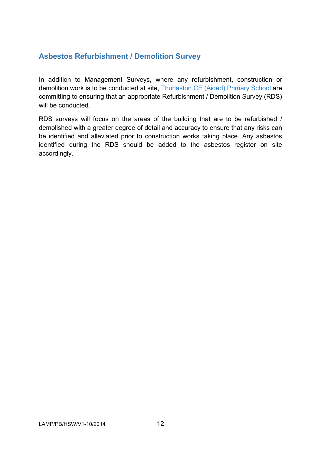# **Asbestos Refurbishment / Demolition Survey**

In addition to Management Surveys, where any refurbishment, construction or demolition work is to be conducted at site, Thurlaston CE (Aided) Primary School are committing to ensuring that an appropriate Refurbishment / Demolition Survey (RDS) will be conducted.

RDS surveys will focus on the areas of the building that are to be refurbished / demolished with a greater degree of detail and accuracy to ensure that any risks can be identified and alleviated prior to construction works taking place. Any asbestos identified during the RDS should be added to the asbestos register on site accordingly.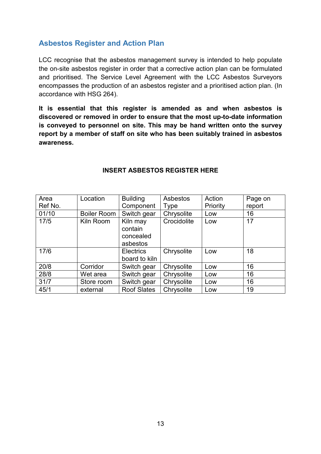## **Asbestos Register and Action Plan**

LCC recognise that the asbestos management survey is intended to help populate the on-site asbestos register in order that a corrective action plan can be formulated and prioritised. The Service Level Agreement with the LCC Asbestos Surveyors encompasses the production of an asbestos register and a prioritised action plan. (In accordance with HSG 264).

**It is essential that this register is amended as and when asbestos is discovered or removed in order to ensure that the most up-to-date information is conveyed to personnel on site. This may be hand written onto the survey report by a member of staff on site who has been suitably trained in asbestos awareness.** 

| Area    | Location           | <b>Building</b>                              | Asbestos    | Action   | Page on |
|---------|--------------------|----------------------------------------------|-------------|----------|---------|
| Ref No. |                    | Component                                    | Type        | Priority | report  |
| 01/10   | <b>Boiler Room</b> | Switch gear                                  | Chrysolite  | Low      | 16      |
| 17/5    | Kiln Room          | Kiln may<br>contain<br>concealed<br>asbestos | Crocidolite | Low      | 17      |
| 17/6    |                    | <b>Electrics</b><br>board to kiln            | Chrysolite  | Low      | 18      |
| 20/8    | Corridor           | Switch gear                                  | Chrysolite  | Low      | 16      |
| 28/8    | Wet area           | Switch gear                                  | Chrysolite  | Low      | 16      |
| 31/7    | Store room         | Switch gear                                  | Chrysolite  | Low      | 16      |
| 45/1    | external           | <b>Roof Slates</b>                           | Chrysolite  | Low      | 19      |

#### **INSERT ASBESTOS REGISTER HERE**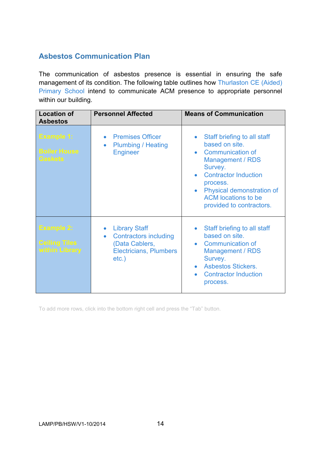# **Asbestos Communication Plan**

The communication of asbestos presence is essential in ensuring the safe management of its condition. The following table outlines how Thurlaston CE (Aided) Primary School intend to communicate ACM presence to appropriate personnel within our building.

| <b>Location of</b><br><b>Asbestos</b>                       | <b>Personnel Affected</b>                                                                                                                     | <b>Means of Communication</b>                                                                                                                                                                                                                            |
|-------------------------------------------------------------|-----------------------------------------------------------------------------------------------------------------------------------------------|----------------------------------------------------------------------------------------------------------------------------------------------------------------------------------------------------------------------------------------------------------|
| <b>Example 1:</b><br><b>Boiler House</b><br><b>Gaskets</b>  | <b>Premises Officer</b><br><b>Plumbing / Heating</b><br>$\bullet$<br><b>Engineer</b>                                                          | Staff briefing to all staff<br>$\bullet$<br>based on site.<br>• Communication of<br><b>Management / RDS</b><br>Survey.<br><b>Contractor Induction</b><br>process.<br>Physical demonstration of<br><b>ACM</b> locations to be<br>provided to contractors. |
| <b>Example 2:</b><br><b>Ceiling Tiles</b><br>within Library | <b>Library Staff</b><br>$\bullet$<br><b>Contractors including</b><br>$\bullet$<br>(Data Cablers,<br><b>Electricians, Plumbers</b><br>$etc.$ ) | Staff briefing to all staff<br>$\bullet$<br>based on site.<br>• Communication of<br>Management / RDS<br>Survey.<br><b>Asbestos Stickers.</b><br><b>Contractor Induction</b><br>process.                                                                  |

To add more rows, click into the bottom right cell and press the "Tab" button.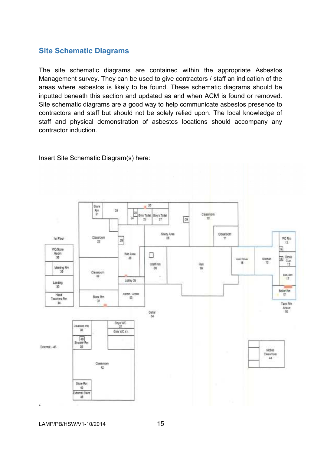#### **Site Schematic Diagrams**

The site schematic diagrams are contained within the appropriate Asbestos Management survey. They can be used to give contractors / staff an indication of the areas where asbestos is likely to be found. These schematic diagrams should be inputted beneath this section and updated as and when ACM is found or removed. Site schematic diagrams are a good way to help communicate asbestos presence to contractors and staff but should not be solely relied upon. The local knowledge of staff and physical demonstration of asbestos locations should accompany any contractor induction.

Insert Site Schematic Diagram(s) here:



LAMP/PB/HSW/V1-10/2014 15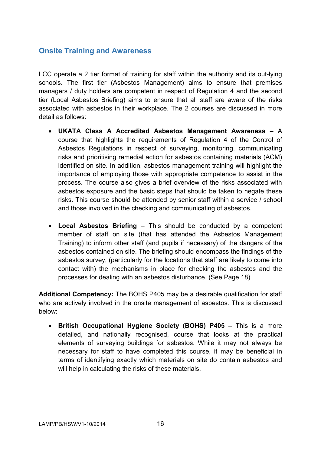#### **Onsite Training and Awareness**

LCC operate a 2 tier format of training for staff within the authority and its out-lying schools. The first tier (Asbestos Management) aims to ensure that premises managers / duty holders are competent in respect of Regulation 4 and the second tier (Local Asbestos Briefing) aims to ensure that all staff are aware of the risks associated with asbestos in their workplace. The 2 courses are discussed in more detail as follows:

- **UKATA Class A Accredited Asbestos Management Awareness** A course that highlights the requirements of Regulation 4 of the Control of Asbestos Regulations in respect of surveying, monitoring, communicating risks and prioritising remedial action for asbestos containing materials (ACM) identified on site. In addition, asbestos management training will highlight the importance of employing those with appropriate competence to assist in the process. The course also gives a brief overview of the risks associated with asbestos exposure and the basic steps that should be taken to negate these risks. This course should be attended by senior staff within a service / school and those involved in the checking and communicating of asbestos.
- **Local Asbestos Briefing**  This should be conducted by a competent member of staff on site (that has attended the Asbestos Management Training) to inform other staff (and pupils if necessary) of the dangers of the asbestos contained on site. The briefing should encompass the findings of the asbestos survey, (particularly for the locations that staff are likely to come into contact with) the mechanisms in place for checking the asbestos and the processes for dealing with an asbestos disturbance. (See Page 18)

**Additional Competency:** The BOHS P405 may be a desirable qualification for staff who are actively involved in the onsite management of asbestos. This is discussed below:

• **British Occupational Hygiene Society (BOHS) P405 –** This is a more detailed, and nationally recognised, course that looks at the practical elements of surveying buildings for asbestos. While it may not always be necessary for staff to have completed this course, it may be beneficial in terms of identifying exactly which materials on site do contain asbestos and will help in calculating the risks of these materials.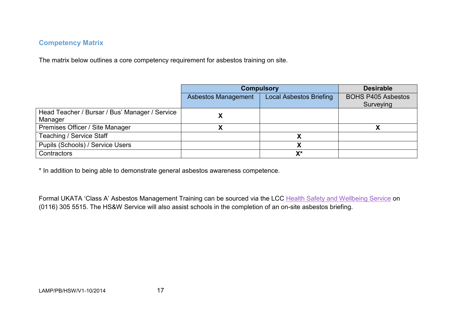#### **Competency Matrix**

The matrix below outlines a core competency requirement for asbestos training on site.

|                                                           | <b>Compulsory</b>   | <b>Desirable</b>               |                                        |
|-----------------------------------------------------------|---------------------|--------------------------------|----------------------------------------|
|                                                           | Asbestos Management | <b>Local Asbestos Briefing</b> | <b>BOHS P405 Asbestos</b><br>Surveying |
| Head Teacher / Bursar / Bus' Manager / Service<br>Manager |                     |                                |                                        |
| Premises Officer / Site Manager                           |                     |                                |                                        |
| Teaching / Service Staff                                  |                     |                                |                                        |
| Pupils (Schools) / Service Users                          |                     |                                |                                        |
| Contractors                                               |                     | $X^*$                          |                                        |

\* In addition to being able to demonstrate general asbestos awareness competence.

Formal UKATA 'Class A' Asbestos Management Training can be sourced via the LCC Health Safety and Wellbeing Service on (0116) 305 5515. The HS&W Service will also assist schools in the completion of an on-site asbestos briefing.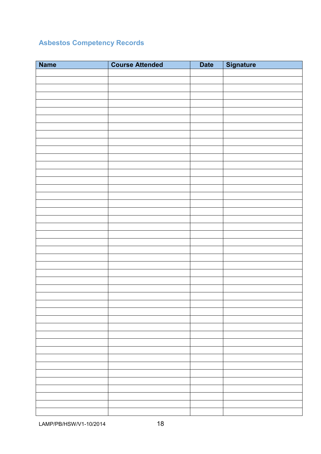# **Asbestos Competency Records**

| <b>Name</b> | <b>Course Attended</b> | <b>Date</b> | Signature |
|-------------|------------------------|-------------|-----------|
|             |                        |             |           |
|             |                        |             |           |
|             |                        |             |           |
|             |                        |             |           |
|             |                        |             |           |
|             |                        |             |           |
|             |                        |             |           |
|             |                        |             |           |
|             |                        |             |           |
|             |                        |             |           |
|             |                        |             |           |
|             |                        |             |           |
|             |                        |             |           |
|             |                        |             |           |
|             |                        |             |           |
|             |                        |             |           |
|             |                        |             |           |
|             |                        |             |           |
|             |                        |             |           |
|             |                        |             |           |
|             |                        |             |           |
|             |                        |             |           |
|             |                        |             |           |
|             |                        |             |           |
|             |                        |             |           |
|             |                        |             |           |
|             |                        |             |           |
|             |                        |             |           |
|             |                        |             |           |
|             |                        |             |           |
|             |                        |             |           |
|             |                        |             |           |
|             |                        |             |           |
|             |                        |             |           |
|             |                        |             |           |
|             |                        |             |           |
|             |                        |             |           |
|             |                        |             |           |
|             |                        |             |           |
|             |                        |             |           |
|             |                        |             |           |
|             |                        |             |           |
|             |                        |             |           |
|             |                        |             |           |
|             |                        |             |           |
|             |                        |             |           |
|             |                        |             |           |

LAMP/PB/HSW/V1-10/2014 18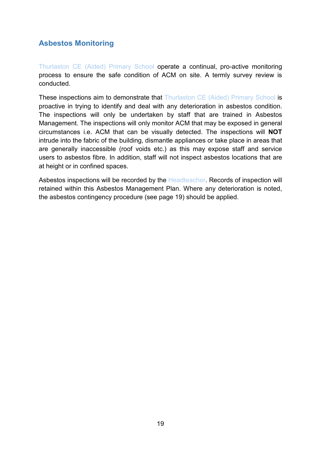# **Asbestos Monitoring**

Thurlaston CE (Aided) Primary School operate a continual, pro-active monitoring process to ensure the safe condition of ACM on site. A termly survey review is conducted.

These inspections aim to demonstrate that Thurlaston CE (Aided) Primary School is proactive in trying to identify and deal with any deterioration in asbestos condition. The inspections will only be undertaken by staff that are trained in Asbestos Management. The inspections will only monitor ACM that may be exposed in general circumstances i.e. ACM that can be visually detected. The inspections will **NOT**  intrude into the fabric of the building, dismantle appliances or take place in areas that are generally inaccessible (roof voids etc.) as this may expose staff and service users to asbestos fibre. In addition, staff will not inspect asbestos locations that are at height or in confined spaces.

Asbestos inspections will be recorded by the Headteacher. Records of inspection will retained within this Asbestos Management Plan. Where any deterioration is noted, the asbestos contingency procedure (see page 19) should be applied.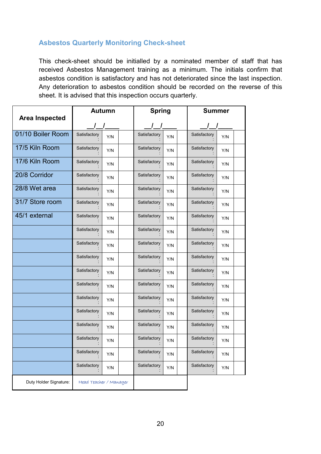#### **Asbestos Quarterly Monitoring Check-sheet**

This check-sheet should be initialled by a nominated member of staff that has received Asbestos Management training as a minimum. The initials confirm that asbestos condition is satisfactory and has not deteriorated since the last inspection. Any deterioration to asbestos condition should be recorded on the reverse of this sheet. It is advised that this inspection occurs quarterly.

|                        | <b>Autumn</b> |                        | <b>Spring</b> |     | <b>Summer</b> |     |
|------------------------|---------------|------------------------|---------------|-----|---------------|-----|
| <b>Area Inspected</b>  | $\sqrt{ }$    |                        | $\frac{1}{2}$ |     | $\sqrt{ }$    |     |
| 01/10 Boiler Room      | Satisfactory  | Y/N                    | Satisfactory  | Y/N | Satisfactory  | Y/N |
| 17/5 Kiln Room         | Satisfactory  | Y/N                    | Satisfactory  | Y/N | Satisfactory  | Y/N |
| 17/6 Kiln Room         | Satisfactory  | Y/N                    | Satisfactory  | Y/N | Satisfactory  | Y/N |
| 20/8 Corridor          | Satisfactory  | Y/N                    | Satisfactory  | Y/N | Satisfactory  | Y/N |
| 28/8 Wet area          | Satisfactory  | Y/N                    | Satisfactory  | Y/N | Satisfactory  | Y/N |
| 31/7 Store room        | Satisfactory  | Y/N                    | Satisfactory  | Y/N | Satisfactory  | Y/N |
| 45/1 external          | Satisfactory  | Y/N                    | Satisfactory  | Y/N | Satisfactory  | Y/N |
|                        | Satisfactory  | Y/N                    | Satisfactory  | Y/N | Satisfactory  | Y/N |
|                        | Satisfactory  | Y/N                    | Satisfactory  | Y/N | Satisfactory  | Y/N |
|                        | Satisfactory  | Y/N                    | Satisfactory  | Y/N | Satisfactory  | Y/N |
|                        | Satisfactory  | Y/N                    | Satisfactory  | Y/N | Satisfactory  | Y/N |
|                        | Satisfactory  | Y/N                    | Satisfactory  | Y/N | Satisfactory  | Y/N |
|                        | Satisfactory  | Y/N                    | Satisfactory  | Y/N | Satisfactory  | Y/N |
|                        | Satisfactory  | Y/N                    | Satisfactory  | Y/N | Satisfactory  | Y/N |
|                        | Satisfactory  | Y/N                    | Satisfactory  | Y/N | Satisfactory  | Y/N |
|                        | Satisfactory  | Y/N                    | Satisfactory  | Y/N | Satisfactory  | Y/N |
|                        | Satisfactory  | Y/N                    | Satisfactory  | Y/N | Satisfactory  | Y/N |
|                        | Satisfactory  | Y/N                    | Satisfactory  | Y/N | Satisfactory  | Y/N |
| Duty Holder Signature: |               | Head Teacher / Manager |               |     |               |     |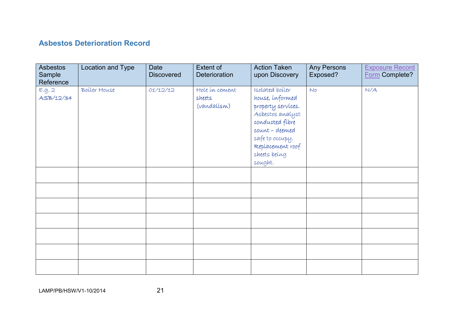# **Asbestos Deterioration Record**

| <b>Asbestos</b><br>Sample<br>Reference | Location and Type | Date<br><b>Discovered</b> | Extent of<br>Deterioration              | <b>Action Taken</b><br>upon Discovery                                                                                                                                               | Any Persons<br>Exposed? | <b>Exposure Record</b><br>Form Complete? |
|----------------------------------------|-------------------|---------------------------|-----------------------------------------|-------------------------------------------------------------------------------------------------------------------------------------------------------------------------------------|-------------------------|------------------------------------------|
| E.g. 2<br>ASB/12/34                    | Boiler House      | 01/12/12                  | Hole in cement<br>sheets<br>(vandalísm) | Isolated boiler<br>house, informed<br>property services.<br>Asbestos analyst<br>conducted fibre<br>count - deemed<br>safe to occupy.<br>Replacement roof<br>sheets being<br>sought. | N                       | N/A                                      |
|                                        |                   |                           |                                         |                                                                                                                                                                                     |                         |                                          |
|                                        |                   |                           |                                         |                                                                                                                                                                                     |                         |                                          |
|                                        |                   |                           |                                         |                                                                                                                                                                                     |                         |                                          |
|                                        |                   |                           |                                         |                                                                                                                                                                                     |                         |                                          |
|                                        |                   |                           |                                         |                                                                                                                                                                                     |                         |                                          |
|                                        |                   |                           |                                         |                                                                                                                                                                                     |                         |                                          |
|                                        |                   |                           |                                         |                                                                                                                                                                                     |                         |                                          |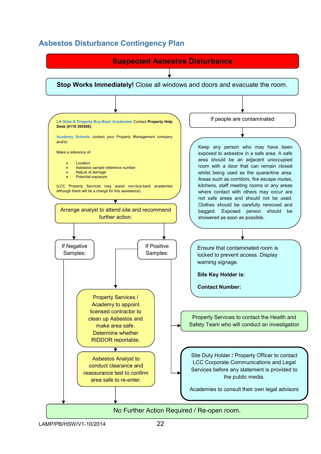# **Asbestos Disturbance Contingency Plan**

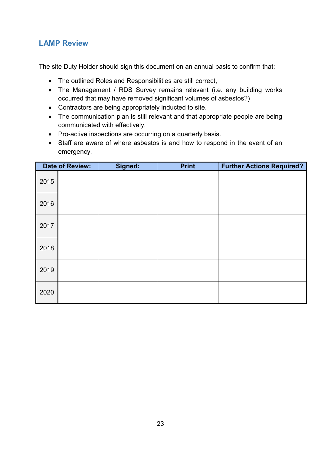# **LAMP Review**

The site Duty Holder should sign this document on an annual basis to confirm that:

- The outlined Roles and Responsibilities are still correct,
- The Management / RDS Survey remains relevant (i.e. any building works occurred that may have removed significant volumes of asbestos?)
- Contractors are being appropriately inducted to site.
- The communication plan is still relevant and that appropriate people are being communicated with effectively.
- Pro-active inspections are occurring on a quarterly basis.
- Staff are aware of where asbestos is and how to respond in the event of an emergency.

|      | <b>Date of Review:</b> | Signed: | <b>Print</b> | <b>Further Actions Required?</b> |
|------|------------------------|---------|--------------|----------------------------------|
| 2015 |                        |         |              |                                  |
| 2016 |                        |         |              |                                  |
| 2017 |                        |         |              |                                  |
| 2018 |                        |         |              |                                  |
| 2019 |                        |         |              |                                  |
| 2020 |                        |         |              |                                  |